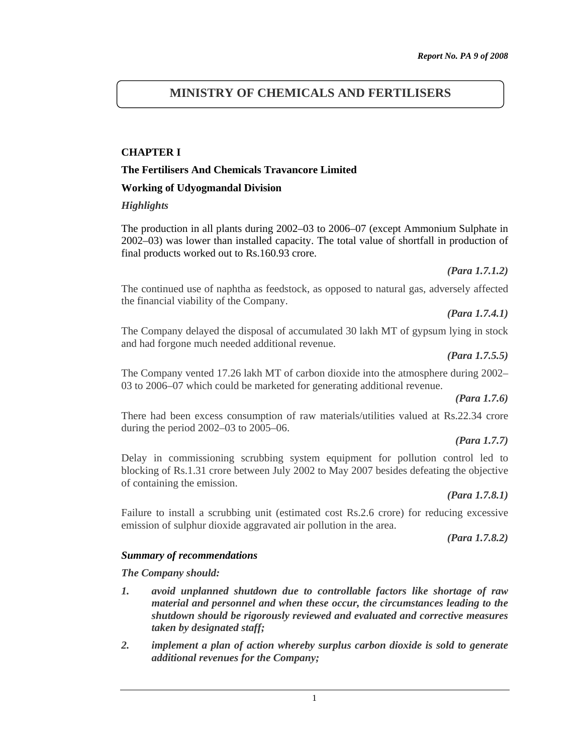# **MINISTRY OF CHEMICALS AND FERTILISERS**

#### **CHAPTER I**

#### **The Fertilisers And Chemicals Travancore Limited**

#### **Working of Udyogmandal Division**

#### *Highlights*

The production in all plants during 2002–03 to 2006–07 (except Ammonium Sulphate in 2002–03) was lower than installed capacity. The total value of shortfall in production of final products worked out to Rs.160.93 crore.

*(Para 1.7.1.2)* 

The continued use of naphtha as feedstock, as opposed to natural gas, adversely affected the financial viability of the Company.

*(Para 1.7.4.1)* 

The Company delayed the disposal of accumulated 30 lakh MT of gypsum lying in stock and had forgone much needed additional revenue.

*(Para 1.7.5.5)* 

The Company vented 17.26 lakh MT of carbon dioxide into the atmosphere during 2002– 03 to 2006–07 which could be marketed for generating additional revenue.

#### *(Para 1.7.6)*

There had been excess consumption of raw materials/utilities valued at Rs.22.34 crore during the period 2002–03 to 2005–06.

#### *(Para 1.7.7)*

Delay in commissioning scrubbing system equipment for pollution control led to blocking of Rs.1.31 crore between July 2002 to May 2007 besides defeating the objective of containing the emission.

#### *(Para 1.7.8.1)*

Failure to install a scrubbing unit (estimated cost Rs.2.6 crore) for reducing excessive emission of sulphur dioxide aggravated air pollution in the area.

*(Para 1.7.8.2)* 

#### *Summary of recommendations*

*The Company should:* 

- *1. avoid unplanned shutdown due to controllable factors like shortage of raw material and personnel and when these occur, the circumstances leading to the shutdown should be rigorously reviewed and evaluated and corrective measures taken by designated staff;*
- *2. implement a plan of action whereby surplus carbon dioxide is sold to generate additional revenues for the Company;*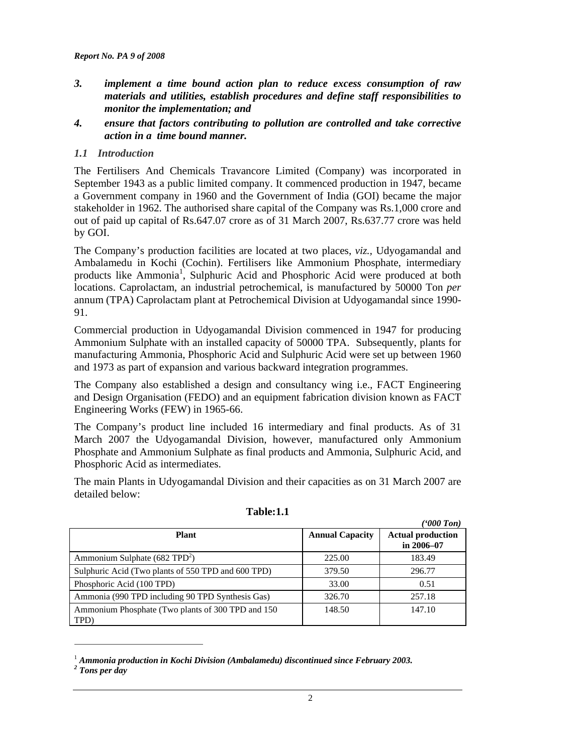- *3. implement a time bound action plan to reduce excess consumption of raw materials and utilities, establish procedures and define staff responsibilities to monitor the implementation; and*
- *4. ensure that factors contributing to pollution are controlled and take corrective action in a time bound manner.*

#### *1.1 Introduction*

The Fertilisers And Chemicals Travancore Limited (Company) was incorporated in September 1943 as a public limited company. It commenced production in 1947, became a Government company in 1960 and the Government of India (GOI) became the major stakeholder in 1962. The authorised share capital of the Company was Rs.1,000 crore and out of paid up capital of Rs.647.07 crore as of 31 March 2007, Rs.637.77 crore was held by GOI.

The Company's production facilities are located at two places, *viz.,* Udyogamandal and Ambalamedu in Kochi (Cochin). Fertilisers like Ammonium Phosphate, intermediary products like Ammonia<sup>1</sup>, Sulphuric Acid and Phosphoric Acid were produced at both locations. Caprolactam, an industrial petrochemical, is manufactured by 50000 Ton *per* annum (TPA) Caprolactam plant at Petrochemical Division at Udyogamandal since 1990- 91.

Commercial production in Udyogamandal Division commenced in 1947 for producing Ammonium Sulphate with an installed capacity of 50000 TPA. Subsequently, plants for manufacturing Ammonia, Phosphoric Acid and Sulphuric Acid were set up between 1960 and 1973 as part of expansion and various backward integration programmes.

The Company also established a design and consultancy wing i.e., FACT Engineering and Design Organisation (FEDO) and an equipment fabrication division known as FACT Engineering Works (FEW) in 1965-66.

The Company's product line included 16 intermediary and final products. As of 31 March 2007 the Udyogamandal Division, however, manufactured only Ammonium Phosphate and Ammonium Sulphate as final products and Ammonia, Sulphuric Acid, and Phosphoric Acid as intermediates.

The main Plants in Udyogamandal Division and their capacities as on 31 March 2007 are detailed below:

|                                                            |                        | ('000 Ton)                                 |
|------------------------------------------------------------|------------------------|--------------------------------------------|
| <b>Plant</b>                                               | <b>Annual Capacity</b> | <b>Actual production</b><br>in $2006 - 07$ |
| Ammonium Sulphate $(682 \text{ TPD}^2)$                    | 225.00                 | 183.49                                     |
| Sulphuric Acid (Two plants of 550 TPD and 600 TPD)         | 379.50                 | 296.77                                     |
| Phosphoric Acid (100 TPD)                                  | 33.00                  | 0.51                                       |
| Ammonia (990 TPD including 90 TPD Synthesis Gas)           | 326.70                 | 257.18                                     |
| Ammonium Phosphate (Two plants of 300 TPD and 150)<br>TPD) | 148.50                 | 147.10                                     |

#### **Table:1.1**

 $\overline{a}$ 

<sup>&</sup>lt;sup>1</sup> Ammonia production in Kochi Division (Ambalamedu) discontinued since February 2003.

*<sup>2</sup> Tons per day*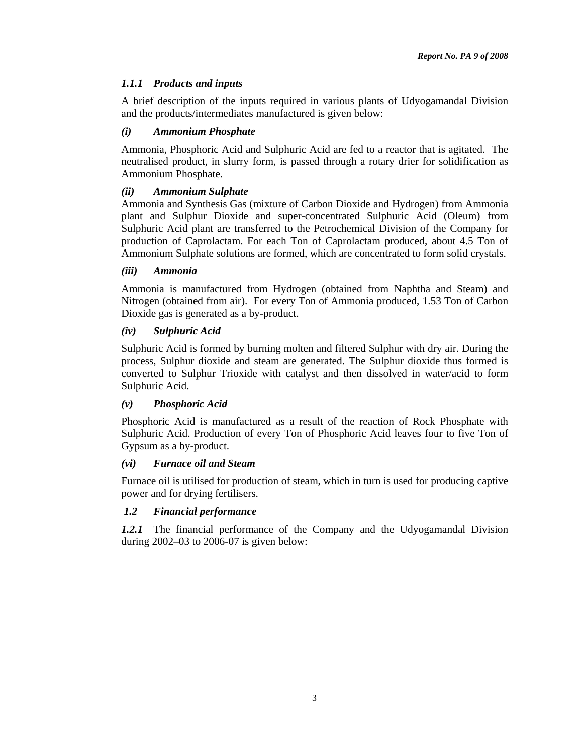# *1.1.1 Products and inputs*

A brief description of the inputs required in various plants of Udyogamandal Division and the products/intermediates manufactured is given below:

## *(i) Ammonium Phosphate*

Ammonia, Phosphoric Acid and Sulphuric Acid are fed to a reactor that is agitated. The neutralised product, in slurry form, is passed through a rotary drier for solidification as Ammonium Phosphate.

## *(ii) Ammonium Sulphate*

Ammonia and Synthesis Gas (mixture of Carbon Dioxide and Hydrogen) from Ammonia plant and Sulphur Dioxide and super-concentrated Sulphuric Acid (Oleum) from Sulphuric Acid plant are transferred to the Petrochemical Division of the Company for production of Caprolactam. For each Ton of Caprolactam produced, about 4.5 Ton of Ammonium Sulphate solutions are formed, which are concentrated to form solid crystals.

### *(iii) Ammonia*

Ammonia is manufactured from Hydrogen (obtained from Naphtha and Steam) and Nitrogen (obtained from air). For every Ton of Ammonia produced, 1.53 Ton of Carbon Dioxide gas is generated as a by-product.

## *(iv) Sulphuric Acid*

Sulphuric Acid is formed by burning molten and filtered Sulphur with dry air. During the process, Sulphur dioxide and steam are generated. The Sulphur dioxide thus formed is converted to Sulphur Trioxide with catalyst and then dissolved in water/acid to form Sulphuric Acid.

## *(v) Phosphoric Acid*

Phosphoric Acid is manufactured as a result of the reaction of Rock Phosphate with Sulphuric Acid. Production of every Ton of Phosphoric Acid leaves four to five Ton of Gypsum as a by-product.

### *(vi) Furnace oil and Steam*

Furnace oil is utilised for production of steam, which in turn is used for producing captive power and for drying fertilisers.

## *1.2 Financial performance*

*1.2.1* The financial performance of the Company and the Udyogamandal Division during 2002–03 to 2006-07 is given below: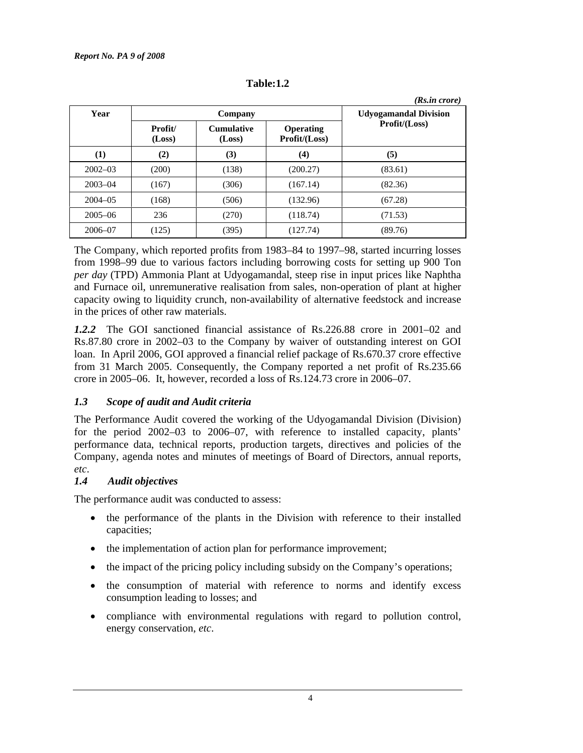|             |                   | $(Rs.in \, crore)$          |                                   |                 |
|-------------|-------------------|-----------------------------|-----------------------------------|-----------------|
| Year        | Company           |                             | <b>Udyogamandal Division</b>      |                 |
|             | Profit/<br>(Loss) | <b>Cumulative</b><br>(Loss) | <b>Operating</b><br>Profit/(Loss) | Profit / (Loss) |
| (1)         | (2)               | (3)                         | (4)                               | (5)             |
| $2002 - 03$ | (200)             | (138)                       | (200.27)                          | (83.61)         |
| $2003 - 04$ | (167)             | (306)                       | (167.14)                          | (82.36)         |
| $2004 - 05$ | (168)             | (506)                       | (132.96)                          | (67.28)         |
| $2005 - 06$ | 236               | (270)                       | (118.74)                          | (71.53)         |
| 2006-07     | (125)             | (395)                       | (127.74)                          | (89.76)         |

**Table:1.2** 

The Company, which reported profits from 1983–84 to 1997–98, started incurring losses from 1998–99 due to various factors including borrowing costs for setting up 900 Ton *per day* (TPD) Ammonia Plant at Udyogamandal, steep rise in input prices like Naphtha and Furnace oil, unremunerative realisation from sales, non-operation of plant at higher capacity owing to liquidity crunch, non-availability of alternative feedstock and increase in the prices of other raw materials.

*1.2.2* The GOI sanctioned financial assistance of Rs.226.88 crore in 2001–02 and Rs.87.80 crore in 2002–03 to the Company by waiver of outstanding interest on GOI loan. In April 2006, GOI approved a financial relief package of Rs.670.37 crore effective from 31 March 2005. Consequently, the Company reported a net profit of Rs.235.66 crore in 2005–06. It, however, recorded a loss of Rs.124.73 crore in 2006–07.

## *1.3 Scope of audit and Audit criteria*

The Performance Audit covered the working of the Udyogamandal Division (Division) for the period 2002–03 to 2006–07, with reference to installed capacity, plants' performance data, technical reports, production targets, directives and policies of the Company, agenda notes and minutes of meetings of Board of Directors, annual reports, *etc*.

# *1.4 Audit objectives*

The performance audit was conducted to assess:

- the performance of the plants in the Division with reference to their installed capacities;
- the implementation of action plan for performance improvement;
- the impact of the pricing policy including subsidy on the Company's operations;
- the consumption of material with reference to norms and identify excess consumption leading to losses; and
- compliance with environmental regulations with regard to pollution control, energy conservation, *etc*.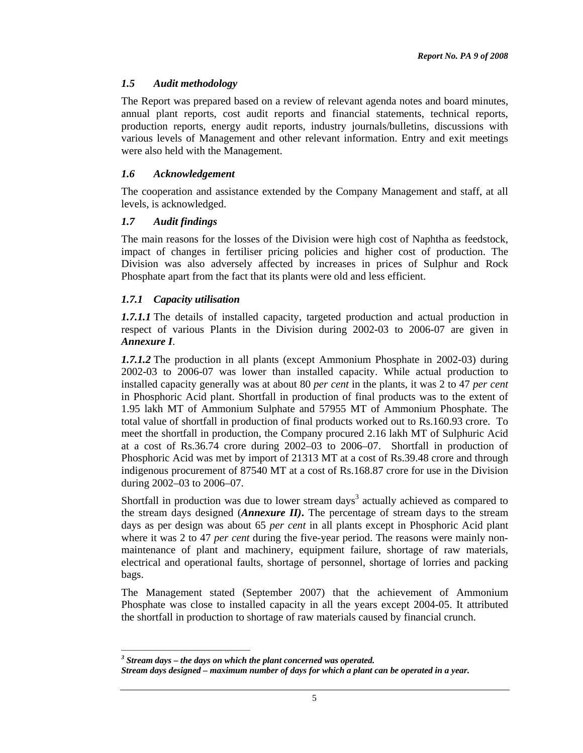### *1.5 Audit methodology*

The Report was prepared based on a review of relevant agenda notes and board minutes, annual plant reports, cost audit reports and financial statements, technical reports, production reports, energy audit reports, industry journals/bulletins, discussions with various levels of Management and other relevant information. Entry and exit meetings were also held with the Management.

#### *1.6 Acknowledgement*

The cooperation and assistance extended by the Company Management and staff, at all levels, is acknowledged.

#### *1.7 Audit findings*

The main reasons for the losses of the Division were high cost of Naphtha as feedstock, impact of changes in fertiliser pricing policies and higher cost of production. The Division was also adversely affected by increases in prices of Sulphur and Rock Phosphate apart from the fact that its plants were old and less efficient.

### *1.7.1 Capacity utilisation*

 $\overline{a}$ 

*1.7.1.1* The details of installed capacity, targeted production and actual production in respect of various Plants in the Division during 2002-03 to 2006-07 are given in *Annexure I*.

*1.7.1.2* The production in all plants (except Ammonium Phosphate in 2002-03) during 2002-03 to 2006-07 was lower than installed capacity. While actual production to installed capacity generally was at about 80 *per cent* in the plants, it was 2 to 47 *per cent* in Phosphoric Acid plant. Shortfall in production of final products was to the extent of 1.95 lakh MT of Ammonium Sulphate and 57955 MT of Ammonium Phosphate. The total value of shortfall in production of final products worked out to Rs.160.93 crore. To meet the shortfall in production, the Company procured 2.16 lakh MT of Sulphuric Acid at a cost of Rs.36.74 crore during 2002–03 to 2006–07. Shortfall in production of Phosphoric Acid was met by import of 21313 MT at a cost of Rs.39.48 crore and through indigenous procurement of 87540 MT at a cost of Rs.168.87 crore for use in the Division during 2002–03 to 2006–07.

Shortfall in production was due to lower stream days<sup>3</sup> actually achieved as compared to the stream days designed (*Annexure II)***.** The percentage of stream days to the stream days as per design was about 65 *per cent* in all plants except in Phosphoric Acid plant where it was 2 to 47 *per cent* during the five-year period. The reasons were mainly nonmaintenance of plant and machinery, equipment failure, shortage of raw materials, electrical and operational faults, shortage of personnel, shortage of lorries and packing bags.

The Management stated (September 2007) that the achievement of Ammonium Phosphate was close to installed capacity in all the years except 2004-05. It attributed the shortfall in production to shortage of raw materials caused by financial crunch.

*<sup>3</sup> Stream days – the days on which the plant concerned was operated.* 

*Stream days designed – maximum number of days for which a plant can be operated in a year.*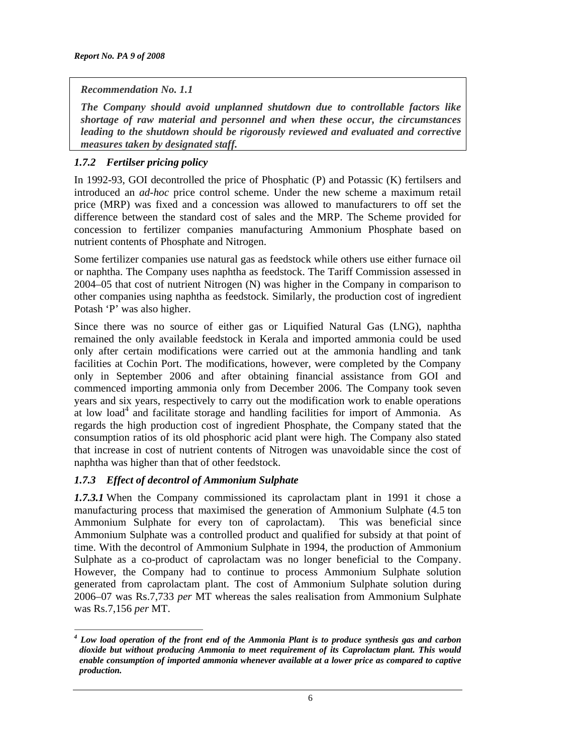### *Recommendation No. 1.1*

*The Company should avoid unplanned shutdown due to controllable factors like shortage of raw material and personnel and when these occur, the circumstances leading to the shutdown should be rigorously reviewed and evaluated and corrective measures taken by designated staff.* 

## *1.7.2 Fertilser pricing policy*

In 1992-93, GOI decontrolled the price of Phosphatic (P) and Potassic (K) fertilsers and introduced an *ad-hoc* price control scheme. Under the new scheme a maximum retail price (MRP) was fixed and a concession was allowed to manufacturers to off set the difference between the standard cost of sales and the MRP. The Scheme provided for concession to fertilizer companies manufacturing Ammonium Phosphate based on nutrient contents of Phosphate and Nitrogen.

Some fertilizer companies use natural gas as feedstock while others use either furnace oil or naphtha. The Company uses naphtha as feedstock. The Tariff Commission assessed in 2004–05 that cost of nutrient Nitrogen (N) was higher in the Company in comparison to other companies using naphtha as feedstock. Similarly, the production cost of ingredient Potash 'P' was also higher.

Since there was no source of either gas or Liquified Natural Gas (LNG), naphtha remained the only available feedstock in Kerala and imported ammonia could be used only after certain modifications were carried out at the ammonia handling and tank facilities at Cochin Port. The modifications, however, were completed by the Company only in September 2006 and after obtaining financial assistance from GOI and commenced importing ammonia only from December 2006. The Company took seven years and six years, respectively to carry out the modification work to enable operations at low load<sup>4</sup> and facilitate storage and handling facilities for import of Ammonia. As regards the high production cost of ingredient Phosphate, the Company stated that the consumption ratios of its old phosphoric acid plant were high. The Company also stated that increase in cost of nutrient contents of Nitrogen was unavoidable since the cost of naphtha was higher than that of other feedstock.

### *1.7.3 Effect of decontrol of Ammonium Sulphate*

*1.7.3.1* When the Company commissioned its caprolactam plant in 1991 it chose a manufacturing process that maximised the generation of Ammonium Sulphate (4.5 ton Ammonium Sulphate for every ton of caprolactam). This was beneficial since Ammonium Sulphate was a controlled product and qualified for subsidy at that point of time. With the decontrol of Ammonium Sulphate in 1994, the production of Ammonium Sulphate as a co-product of caprolactam was no longer beneficial to the Company. However, the Company had to continue to process Ammonium Sulphate solution generated from caprolactam plant. The cost of Ammonium Sulphate solution during 2006–07 was Rs.7,733 *per* MT whereas the sales realisation from Ammonium Sulphate was Rs.7,156 *per* MT.

 $\overline{a}$ *<sup>4</sup> Low load operation of the front end of the Ammonia Plant is to produce synthesis gas and carbon dioxide but without producing Ammonia to meet requirement of its Caprolactam plant. This would enable consumption of imported ammonia whenever available at a lower price as compared to captive production.*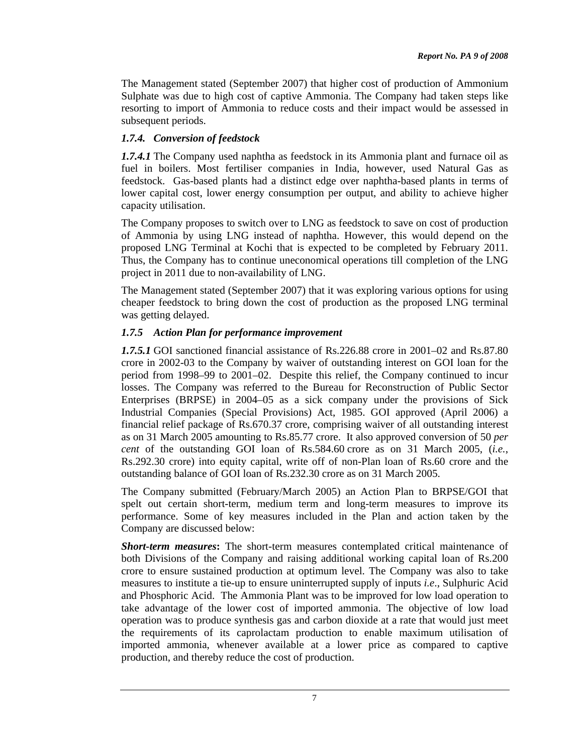The Management stated (September 2007) that higher cost of production of Ammonium Sulphate was due to high cost of captive Ammonia. The Company had taken steps like resorting to import of Ammonia to reduce costs and their impact would be assessed in subsequent periods.

## *1.7.4. Conversion of feedstock*

*1.7.4.1* The Company used naphtha as feedstock in its Ammonia plant and furnace oil as fuel in boilers. Most fertiliser companies in India, however, used Natural Gas as feedstock. Gas-based plants had a distinct edge over naphtha-based plants in terms of lower capital cost, lower energy consumption per output, and ability to achieve higher capacity utilisation.

The Company proposes to switch over to LNG as feedstock to save on cost of production of Ammonia by using LNG instead of naphtha. However, this would depend on the proposed LNG Terminal at Kochi that is expected to be completed by February 2011. Thus, the Company has to continue uneconomical operations till completion of the LNG project in 2011 due to non-availability of LNG.

The Management stated (September 2007) that it was exploring various options for using cheaper feedstock to bring down the cost of production as the proposed LNG terminal was getting delayed.

### *1.7.5 Action Plan for performance improvement*

*1.7.5.1* GOI sanctioned financial assistance of Rs.226.88 crore in 2001–02 and Rs.87.80 crore in 2002-03 to the Company by waiver of outstanding interest on GOI loan for the period from 1998–99 to 2001–02. Despite this relief, the Company continued to incur losses. The Company was referred to the Bureau for Reconstruction of Public Sector Enterprises (BRPSE) in 2004–05 as a sick company under the provisions of Sick Industrial Companies (Special Provisions) Act, 1985. GOI approved (April 2006) a financial relief package of Rs.670.37 crore, comprising waiver of all outstanding interest as on 31 March 2005 amounting to Rs.85.77 crore. It also approved conversion of 50 *per cent* of the outstanding GOI loan of Rs.584.60 crore as on 31 March 2005, (*i.e.*, Rs.292.30 crore) into equity capital, write off of non-Plan loan of Rs.60 crore and the outstanding balance of GOI loan of Rs.232.30 crore as on 31 March 2005.

The Company submitted (February/March 2005) an Action Plan to BRPSE/GOI that spelt out certain short-term, medium term and long-term measures to improve its performance. Some of key measures included in the Plan and action taken by the Company are discussed below:

*Short-term measures***:** The short-term measures contemplated critical maintenance of both Divisions of the Company and raising additional working capital loan of Rs.200 crore to ensure sustained production at optimum level. The Company was also to take measures to institute a tie-up to ensure uninterrupted supply of inputs *i.e*., Sulphuric Acid and Phosphoric Acid. The Ammonia Plant was to be improved for low load operation to take advantage of the lower cost of imported ammonia. The objective of low load operation was to produce synthesis gas and carbon dioxide at a rate that would just meet the requirements of its caprolactam production to enable maximum utilisation of imported ammonia, whenever available at a lower price as compared to captive production, and thereby reduce the cost of production.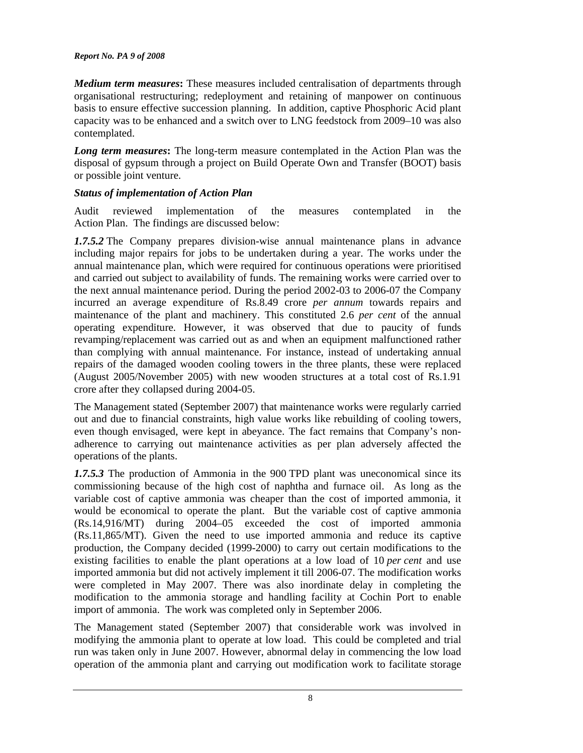*Medium term measures***:** These measures included centralisation of departments through organisational restructuring; redeployment and retaining of manpower on continuous basis to ensure effective succession planning. In addition, captive Phosphoric Acid plant capacity was to be enhanced and a switch over to LNG feedstock from 2009–10 was also contemplated.

*Long term measures***:** The long-term measure contemplated in the Action Plan was the disposal of gypsum through a project on Build Operate Own and Transfer (BOOT) basis or possible joint venture.

## *Status of implementation of Action Plan*

Audit reviewed implementation of the measures contemplated in the Action Plan. The findings are discussed below:

*1.7.5.2* The Company prepares division-wise annual maintenance plans in advance including major repairs for jobs to be undertaken during a year. The works under the annual maintenance plan, which were required for continuous operations were prioritised and carried out subject to availability of funds. The remaining works were carried over to the next annual maintenance period. During the period 2002-03 to 2006-07 the Company incurred an average expenditure of Rs.8.49 crore *per annum* towards repairs and maintenance of the plant and machinery. This constituted 2.6 *per cent* of the annual operating expenditure. However, it was observed that due to paucity of funds revamping/replacement was carried out as and when an equipment malfunctioned rather than complying with annual maintenance. For instance, instead of undertaking annual repairs of the damaged wooden cooling towers in the three plants, these were replaced (August 2005/November 2005) with new wooden structures at a total cost of Rs.1.91 crore after they collapsed during 2004-05.

The Management stated (September 2007) that maintenance works were regularly carried out and due to financial constraints, high value works like rebuilding of cooling towers, even though envisaged, were kept in abeyance. The fact remains that Company's nonadherence to carrying out maintenance activities as per plan adversely affected the operations of the plants.

*1.7.5.3* The production of Ammonia in the 900 TPD plant was uneconomical since its commissioning because of the high cost of naphtha and furnace oil. As long as the variable cost of captive ammonia was cheaper than the cost of imported ammonia, it would be economical to operate the plant. But the variable cost of captive ammonia (Rs.14,916/MT) during 2004–05 exceeded the cost of imported ammonia (Rs.11,865/MT). Given the need to use imported ammonia and reduce its captive production, the Company decided (1999-2000) to carry out certain modifications to the existing facilities to enable the plant operations at a low load of 10 *per cent* and use imported ammonia but did not actively implement it till 2006-07. The modification works were completed in May 2007. There was also inordinate delay in completing the modification to the ammonia storage and handling facility at Cochin Port to enable import of ammonia. The work was completed only in September 2006.

The Management stated (September 2007) that considerable work was involved in modifying the ammonia plant to operate at low load. This could be completed and trial run was taken only in June 2007. However, abnormal delay in commencing the low load operation of the ammonia plant and carrying out modification work to facilitate storage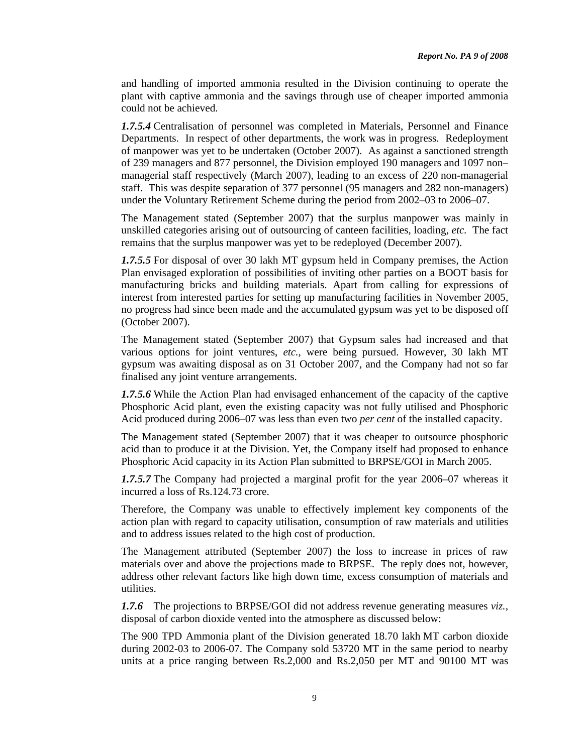and handling of imported ammonia resulted in the Division continuing to operate the plant with captive ammonia and the savings through use of cheaper imported ammonia could not be achieved.

*1.7.5.4* Centralisation of personnel was completed in Materials, Personnel and Finance Departments. In respect of other departments, the work was in progress. Redeployment of manpower was yet to be undertaken (October 2007). As against a sanctioned strength of 239 managers and 877 personnel, the Division employed 190 managers and 1097 non– managerial staff respectively (March 2007), leading to an excess of 220 non-managerial staff. This was despite separation of 377 personnel (95 managers and 282 non-managers) under the Voluntary Retirement Scheme during the period from 2002–03 to 2006–07.

The Management stated (September 2007) that the surplus manpower was mainly in unskilled categories arising out of outsourcing of canteen facilities, loading, *etc.* The fact remains that the surplus manpower was yet to be redeployed (December 2007).

*1.7.5.5* For disposal of over 30 lakh MT gypsum held in Company premises, the Action Plan envisaged exploration of possibilities of inviting other parties on a BOOT basis for manufacturing bricks and building materials. Apart from calling for expressions of interest from interested parties for setting up manufacturing facilities in November 2005, no progress had since been made and the accumulated gypsum was yet to be disposed off (October 2007).

The Management stated (September 2007) that Gypsum sales had increased and that various options for joint ventures, *etc.,* were being pursued. However, 30 lakh MT gypsum was awaiting disposal as on 31 October 2007, and the Company had not so far finalised any joint venture arrangements.

*1.7.5.6* While the Action Plan had envisaged enhancement of the capacity of the captive Phosphoric Acid plant, even the existing capacity was not fully utilised and Phosphoric Acid produced during 2006–07 was less than even two *per cent* of the installed capacity.

The Management stated (September 2007) that it was cheaper to outsource phosphoric acid than to produce it at the Division. Yet, the Company itself had proposed to enhance Phosphoric Acid capacity in its Action Plan submitted to BRPSE/GOI in March 2005.

*1.7.5.7* The Company had projected a marginal profit for the year 2006–07 whereas it incurred a loss of Rs.124.73 crore.

Therefore, the Company was unable to effectively implement key components of the action plan with regard to capacity utilisation, consumption of raw materials and utilities and to address issues related to the high cost of production.

The Management attributed (September 2007) the loss to increase in prices of raw materials over and above the projections made to BRPSE. The reply does not, however, address other relevant factors like high down time, excess consumption of materials and utilities.

*1.7.6* The projections to BRPSE/GOI did not address revenue generating measures *viz.,* disposal of carbon dioxide vented into the atmosphere as discussed below:

The 900 TPD Ammonia plant of the Division generated 18.70 lakh MT carbon dioxide during 2002-03 to 2006-07. The Company sold 53720 MT in the same period to nearby units at a price ranging between Rs.2,000 and Rs.2,050 per MT and 90100 MT was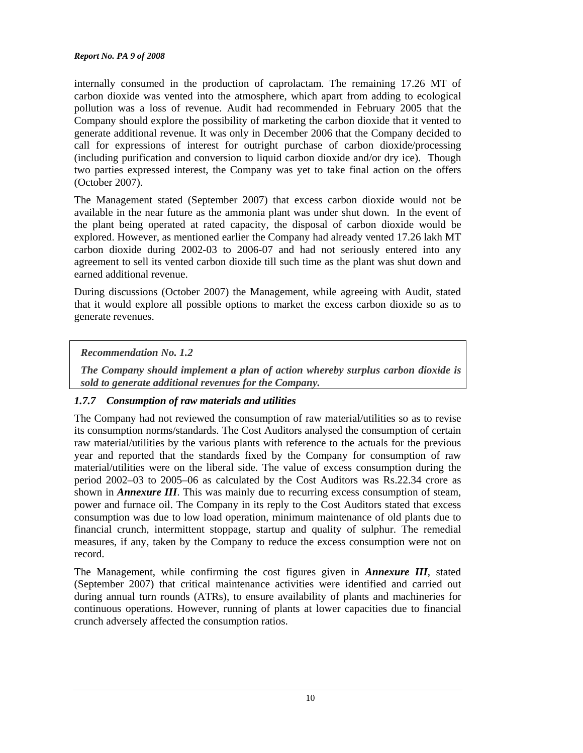internally consumed in the production of caprolactam. The remaining 17.26 MT of carbon dioxide was vented into the atmosphere, which apart from adding to ecological pollution was a loss of revenue. Audit had recommended in February 2005 that the Company should explore the possibility of marketing the carbon dioxide that it vented to generate additional revenue. It was only in December 2006 that the Company decided to call for expressions of interest for outright purchase of carbon dioxide/processing (including purification and conversion to liquid carbon dioxide and/or dry ice). Though two parties expressed interest, the Company was yet to take final action on the offers (October 2007).

The Management stated (September 2007) that excess carbon dioxide would not be available in the near future as the ammonia plant was under shut down. In the event of the plant being operated at rated capacity, the disposal of carbon dioxide would be explored. However, as mentioned earlier the Company had already vented 17.26 lakh MT carbon dioxide during 2002-03 to 2006-07 and had not seriously entered into any agreement to sell its vented carbon dioxide till such time as the plant was shut down and earned additional revenue.

During discussions (October 2007) the Management, while agreeing with Audit, stated that it would explore all possible options to market the excess carbon dioxide so as to generate revenues.

### *Recommendation No. 1.2*

*The Company should implement a plan of action whereby surplus carbon dioxide is sold to generate additional revenues for the Company.* 

## *1.7.7 Consumption of raw materials and utilities*

The Company had not reviewed the consumption of raw material/utilities so as to revise its consumption norms/standards. The Cost Auditors analysed the consumption of certain raw material/utilities by the various plants with reference to the actuals for the previous year and reported that the standards fixed by the Company for consumption of raw material/utilities were on the liberal side. The value of excess consumption during the period 2002–03 to 2005–06 as calculated by the Cost Auditors was Rs.22.34 crore as shown in *Annexure III*. This was mainly due to recurring excess consumption of steam, power and furnace oil. The Company in its reply to the Cost Auditors stated that excess consumption was due to low load operation, minimum maintenance of old plants due to financial crunch, intermittent stoppage, startup and quality of sulphur. The remedial measures, if any, taken by the Company to reduce the excess consumption were not on record.

The Management, while confirming the cost figures given in *Annexure III*, stated (September 2007) that critical maintenance activities were identified and carried out during annual turn rounds (ATRs), to ensure availability of plants and machineries for continuous operations. However, running of plants at lower capacities due to financial crunch adversely affected the consumption ratios.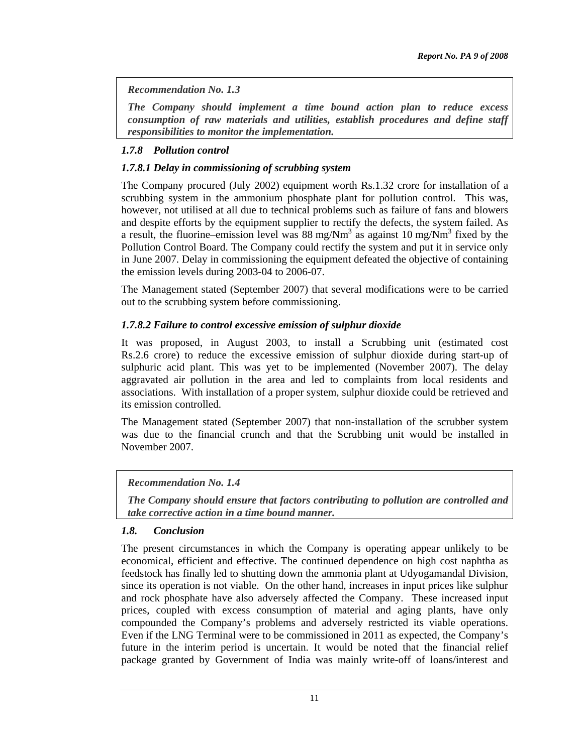*Recommendation No. 1.3* 

*The Company should implement a time bound action plan to reduce excess consumption of raw materials and utilities, establish procedures and define staff responsibilities to monitor the implementation.* 

## *1.7.8 Pollution control*

## *1.7.8.1 Delay in commissioning of scrubbing system*

The Company procured (July 2002) equipment worth Rs.1.32 crore for installation of a scrubbing system in the ammonium phosphate plant for pollution control. This was, however, not utilised at all due to technical problems such as failure of fans and blowers and despite efforts by the equipment supplier to rectify the defects, the system failed. As a result, the fluorine–emission level was  $88 \text{ mg}/\text{Nm}^3$  as against  $10 \text{ mg}/\text{Nm}^3$  fixed by the Pollution Control Board. The Company could rectify the system and put it in service only in June 2007. Delay in commissioning the equipment defeated the objective of containing the emission levels during 2003-04 to 2006-07.

The Management stated (September 2007) that several modifications were to be carried out to the scrubbing system before commissioning.

## *1.7.8.2 Failure to control excessive emission of sulphur dioxide*

It was proposed, in August 2003, to install a Scrubbing unit (estimated cost Rs.2.6 crore) to reduce the excessive emission of sulphur dioxide during start-up of sulphuric acid plant. This was yet to be implemented (November 2007). The delay aggravated air pollution in the area and led to complaints from local residents and associations. With installation of a proper system, sulphur dioxide could be retrieved and its emission controlled.

The Management stated (September 2007) that non-installation of the scrubber system was due to the financial crunch and that the Scrubbing unit would be installed in November 2007.

### *Recommendation No. 1.4*

*The Company should ensure that factors contributing to pollution are controlled and take corrective action in a time bound manner.* 

### *1.8. Conclusion*

The present circumstances in which the Company is operating appear unlikely to be economical, efficient and effective. The continued dependence on high cost naphtha as feedstock has finally led to shutting down the ammonia plant at Udyogamandal Division, since its operation is not viable. On the other hand, increases in input prices like sulphur and rock phosphate have also adversely affected the Company. These increased input prices, coupled with excess consumption of material and aging plants, have only compounded the Company's problems and adversely restricted its viable operations. Even if the LNG Terminal were to be commissioned in 2011 as expected, the Company's future in the interim period is uncertain. It would be noted that the financial relief package granted by Government of India was mainly write-off of loans/interest and